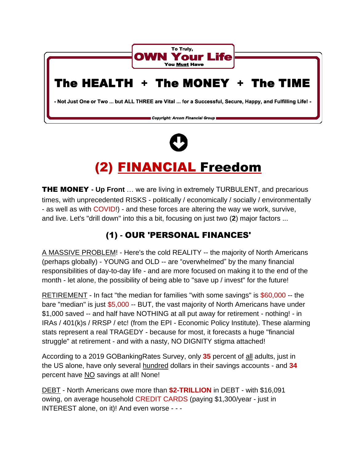



# (2) FINANCIAL Freedom

THE MONEY **- Up Front** … we are living in extremely TURBULENT, and precarious times, with unprecedented RISKS - politically / economically / socially / environmentally - as well as with COVID!) - and these forces are altering the way we work, survive, and live. Let's "drill down" into this a bit, focusing on just two (**2**) major factors ...

## (1) **-** OUR 'PERSONAL FINANCES'

A MASSIVE PROBLEM! - Here's the cold REALITY -- the majority of North Americans (perhaps globally) - YOUNG and OLD -- are "overwhelmed" by the many financial responsibilities of day-to-day life - and are more focused on making it to the end of the month - let alone, the possibility of being able to "save up / invest" for the future!

RETIREMENT - In fact "the median for families "with some savings" is \$60,000 -- the bare "median" is just \$5,000 -- BUT, the vast majority of North Americans have under \$1,000 saved -- and half have NOTHING at all put away for retirement - nothing! - in IRAs / 401(k)s / RRSP / etc! (from the EPI - Economic Policy Institute). These alarming stats represent a real TRAGEDY - because for most, it forecasts a huge "financial struggle" at retirement - and with a nasty, NO DIGNITY stigma attached!

According to a 2019 GOBankingRates Survey, only **35** percent of all adults, just in the US alone, have only several hundred dollars in their savings accounts - and **34** percent have NO savings at all! None!

DEBT - North Americans owe more than **\$2-TRILLION** in DEBT - with \$16,091 owing, on average household CREDIT CARDS (paying \$1,300/year - just in INTEREST alone, on it)! And even worse - - -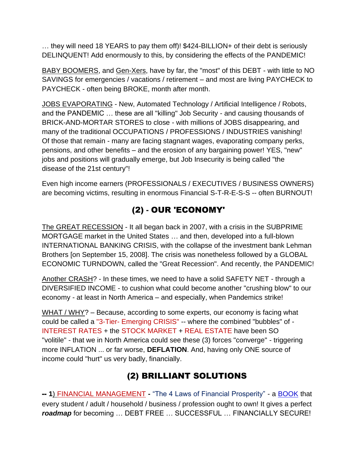… they will need 18 YEARS to pay them off)! \$424-BILLION+ of their debt is seriously DELINQUENT! Add enormously to this, by considering the effects of the PANDEMIC!

BABY BOOMERS, and Gen-Xers, have by far, the "most" of this DEBT - with little to NO SAVINGS for emergencies / vacations / retirement – and most are living PAYCHECK to PAYCHECK - often being BROKE, month after month.

JOBS EVAPORATING - New, Automated Technology / Artificial Intelligence / Robots, and the PANDEMIC … these are all "killing" Job Security - and causing thousands of BRICK-AND-MORTAR STORES to close - with millions of JOBS disappearing, and many of the traditional OCCUPATIONS / PROFESSIONS / INDUSTRIES vanishing! Of those that remain - many are facing stagnant wages, evaporating company perks, pensions, and other benefits – and the erosion of any bargaining power! YES, "new" jobs and positions will gradually emerge, but Job Insecurity is being called "the disease of the 21st century"!

Even high income earners (PROFESSIONALS / EXECUTIVES / BUSINESS OWNERS) are becoming victims, resulting in enormous Financial S-T-R-E-S-S -- often BURNOUT!

# (2) **-** OUR 'ECONOMY'

The GREAT RECESSION - It all began back in 2007, with a crisis in the SUBPRIME MORTGAGE market in the United States … and then, developed into a full-blown INTERNATIONAL BANKING CRISIS, with the collapse of the investment bank Lehman Brothers [on September 15, 2008]. The crisis was nonetheless followed by a GLOBAL ECONOMIC TURNDOWN, called the "Great Recession". And recently, the PANDEMIC!

Another CRASH? - In these times, we need to have a solid SAFETY NET - through a DIVERSIFIED INCOME - to cushion what could become another "crushing blow" to our economy - at least in North America – and especially, when Pandemics strike!

WHAT / WHY? – Because, according to some experts, our economy is facing what could be called a "3-Tier- Emerging CRISIS" -- where the combined "bubbles" of - INTEREST RATES + the STOCK MARKET + REAL ESTATE have been SO "volitile" - that we in North America could see these (3) forces "converge" - triggering more INFLATION ... or far worse, **DEFLATION**. And, having only ONE source of income could "hurt" us very badly, financially.

## (2) BRILLIANT SOLUTIONS

-- **1**) FINANCIAL MANAGEMENT **-** "The 4 Laws of Financial Prosperity" - a [BOOK](https://www.amazon.com/Laws-Financial-Prosperity-Control-Formerly/dp/1933976861/ref%3Dsr_1_1?keywords=The%2B4%2BLaws%2Bof%2BFinancial%2BProsperity&qid=1559151140&s=gateway&sr=8-1) that every student / adult / household / business / profession ought to own! It gives a perfect *roadmap* for becoming … DEBT FREE … SUCCESSFUL … FINANCIALLY SECURE!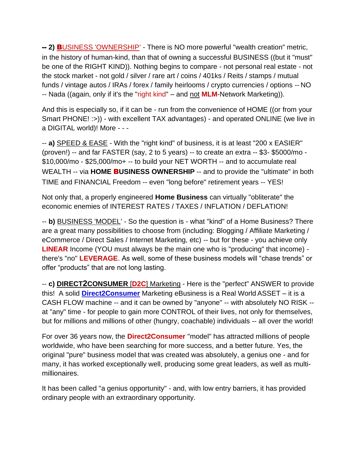-- **2)** BUSINESS 'OWNERSHIP' - There is NO more powerful "wealth creation" metric, in the history of human-kind, than that of owning a successful BUSINESS ((but it "must" be one of the RIGHT KIND)). Nothing begins to compare - not personal real estate - not the stock market - not gold / silver / rare art / coins / 401ks / Reits / stamps / mutual funds / vintage autos / IRAs / forex / family heirlooms / crypto currencies / options -- NO -- Nada ((again, only if it's the "right kind" – and not **MLM**-Network Marketing)).

And this is especially so, if it can be - run from the convenience of HOME ((or from your Smart PHONE! :>)) - with excellent TAX advantages) - and operated ONLINE (we live in a DIGITAL world)! More - - -

-- **a)** SPEED & EASE - With the "right kind" of business, it is at least "200 x EASIER" (proven!) -- and far FASTER (say, 2 to 5 years) -- to create an extra -- \$3- \$5000/mo - \$10,000/mo - \$25,000/mo+ -- to build your NET WORTH -- and to accumulate real WEALTH -- via **HOME** B**USINESS OWNERSHIP** -- and to provide the "ultimate" in both TIME and FINANCIAL Freedom -- even "long before" retirement years -- YES!

Not only that, a properly engineered **Home Business** can virtually "obliterate" the economic enemies of INTEREST RATES / TAXES / INFLATION / DEFLATION!

-- **b)** BUSINESS 'MODEL' - So the question is - what "kind" of a Home Business? There are a great many possibilities to choose from (including: Blogging / Affiliate Marketing / eCommerce / Direct Sales / Internet Marketing, etc) -- but for these - you achieve only **LINEAR** Income (YOU must always be the main one who is "producing" that income) there's "no" **LEVERAGE**. As well, some of these business models will "chase trends" or offer "products" that are not long lasting.

-- **c) DIRECT2CONSUMER** [**D2C**] Marketing - Here is the "perfect" ANSWER to provide this! A solid **[Direct2Consumer](https://www.keepandshare.com/doc20/23194/d2c-mktg-converted-converted-converted-pdf-400k?da=y)** Marketing eBusiness is a Real World ASSET – it is a CASH FLOW machine -- and it can be owned by "anyone" -- with absolutely NO RISK - at "any" time - for people to gain more CONTROL of their lives, not only for themselves, but for millions and millions of other (hungry, coachable) individuals -- all over the world!

For over 36 years now, the **Direct2Consumer** "model" has attracted millions of people worldwide, who have been searching for more success, and a better future. Yes, the original "pure" business model that was created was absolutely, a genius one - and for many, it has worked exceptionally well, producing some great leaders, as well as multimillionaires.

It has been called "a genius opportunity" - and, with low entry barriers, it has provided ordinary people with an extraordinary opportunity.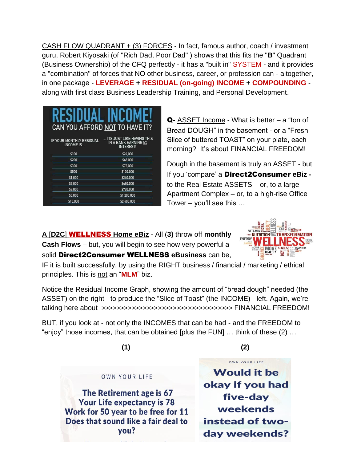CASH FLOW QUADRANT + (3) FORCES - In fact, famous author, coach / investment guru, Robert Kiyosaki (of "Rich Dad, Poor Dad" ) shows that this fits the "**B**" Quadrant (Business Ownership) of the CFQ perfectly - it has a "built in" SYSTEM - and it provides a "combination" of forces that NO other business, career, or profession can - altogether, in one package - **LEVERAGE + RESIDUAL (on-going) INCOME + COMPOUNDING** along with first class Business Leadership Training, and Personal Development.

| RESIDUAL INCOM<br>CAN YOU AFFORD NOT TO HAVE IT? |                                                                              |
|--------------------------------------------------|------------------------------------------------------------------------------|
| IF YOUR MONTHLY RESIDUAL<br>INCOME IS            | <b>ITS JUST LIKE HAVING THIS</b><br>IN A BANK EARNING 5%<br><b>INTEREST!</b> |
| \$100                                            | \$24,000                                                                     |
| \$200                                            | \$48,000                                                                     |
| \$300                                            | \$72,000                                                                     |
| \$500                                            | \$120,000                                                                    |
| \$1,000                                          | \$240,000                                                                    |
| \$2,000                                          | \$480,000                                                                    |
| \$3,000                                          | \$720,000                                                                    |
| \$5,000                                          | \$1,200,000                                                                  |
| \$10,000                                         | \$2,400,000                                                                  |

Q- ASSET Income - What is better – a "ton of Bread DOUGH" in the basement - or a "Fresh Slice of buttered TOAST" on your plate, each morning? It's about FINANCIAL FREEDOM!

Dough in the basement is truly an ASSET - but If you 'compare' a Direct2Consumer **eBiz**  to the Real Estate ASSETS – or, to a large Apartment Complex – or, to a high-rise Office Tower – you'll see this …

**A** [**D2C**] WELLNESS **Home eBiz** - All (**3)** throw off **monthly Cash Flows** – but, you will begin to see how very powerful a solid Direct2Consumer WELLNESS **eBusiness** can be,



IF it is built successfully, by using the RIGHT business / financial / marketing / ethical principles. This is not an "**MLM**" biz.

Notice the Residual Income Graph, showing the amount of "bread dough" needed (the ASSET) on the right - to produce the "Slice of Toast" (the INCOME) - left. Again, we're talking here about >>>>>>>>>>>>>>>>>>>>>>>>>>>>>>>>>>> FINANCIAL FREEDOM!

BUT, if you look at - not only the INCOMES that can be had - and the FREEDOM to "enjoy" those incomes, that can be obtained [plus the FUN] … think of these (2) …

 **(1) (2)**

OWN YOUR LIFE

#### OWN YOUR LIFE

The Retirement age is 67 **Your Life expectancy is 78** Work for 50 year to be free for 11 Does that sound like a fair deal to you?

**Would it be** okay if you had five-day weekends instead of twoday weekends?